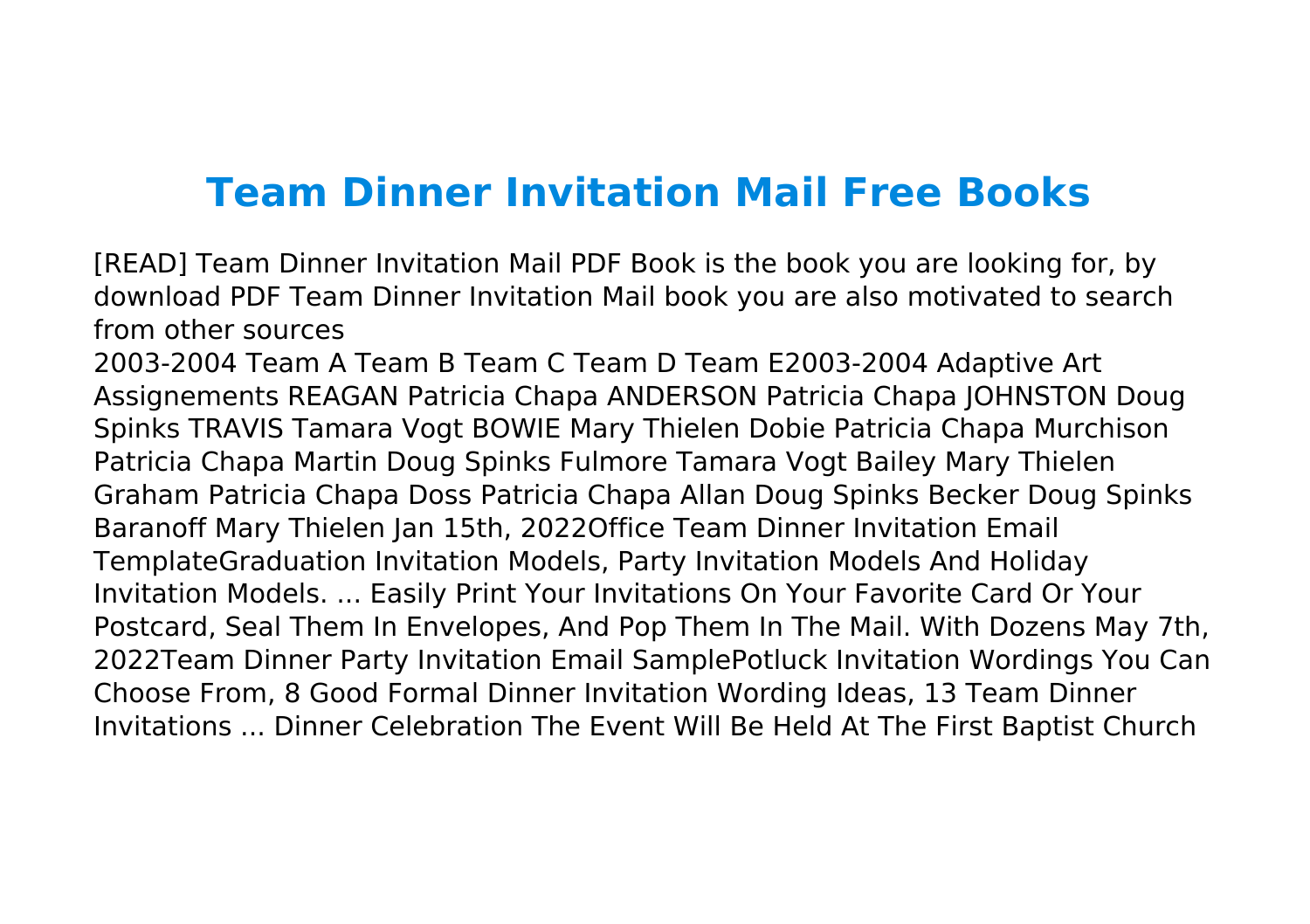## **Team Dinner Invitation Mail Free Books**

[READ] Team Dinner Invitation Mail PDF Book is the book you are looking for, by download PDF Team Dinner Invitation Mail book you are also motivated to search from other sources

2003-2004 Team A Team B Team C Team D Team E2003-2004 Adaptive Art Assignements REAGAN Patricia Chapa ANDERSON Patricia Chapa JOHNSTON Doug Spinks TRAVIS Tamara Vogt BOWIE Mary Thielen Dobie Patricia Chapa Murchison Patricia Chapa Martin Doug Spinks Fulmore Tamara Vogt Bailey Mary Thielen Graham Patricia Chapa Doss Patricia Chapa Allan Doug Spinks Becker Doug Spinks Baranoff Mary Thielen Jan 15th, 2022Office Team Dinner Invitation Email TemplateGraduation Invitation Models, Party Invitation Models And Holiday Invitation Models. ... Easily Print Your Invitations On Your Favorite Card Or Your Postcard, Seal Them In Envelopes, And Pop Them In The Mail. With Dozens May 7th, 2022Team Dinner Party Invitation Email SamplePotluck Invitation Wordings You Can Choose From, 8 Good Formal Dinner Invitation Wording Ideas, 13 Team Dinner Invitations ... Dinner Celebration The Event Will Be Held At The First Baptist Church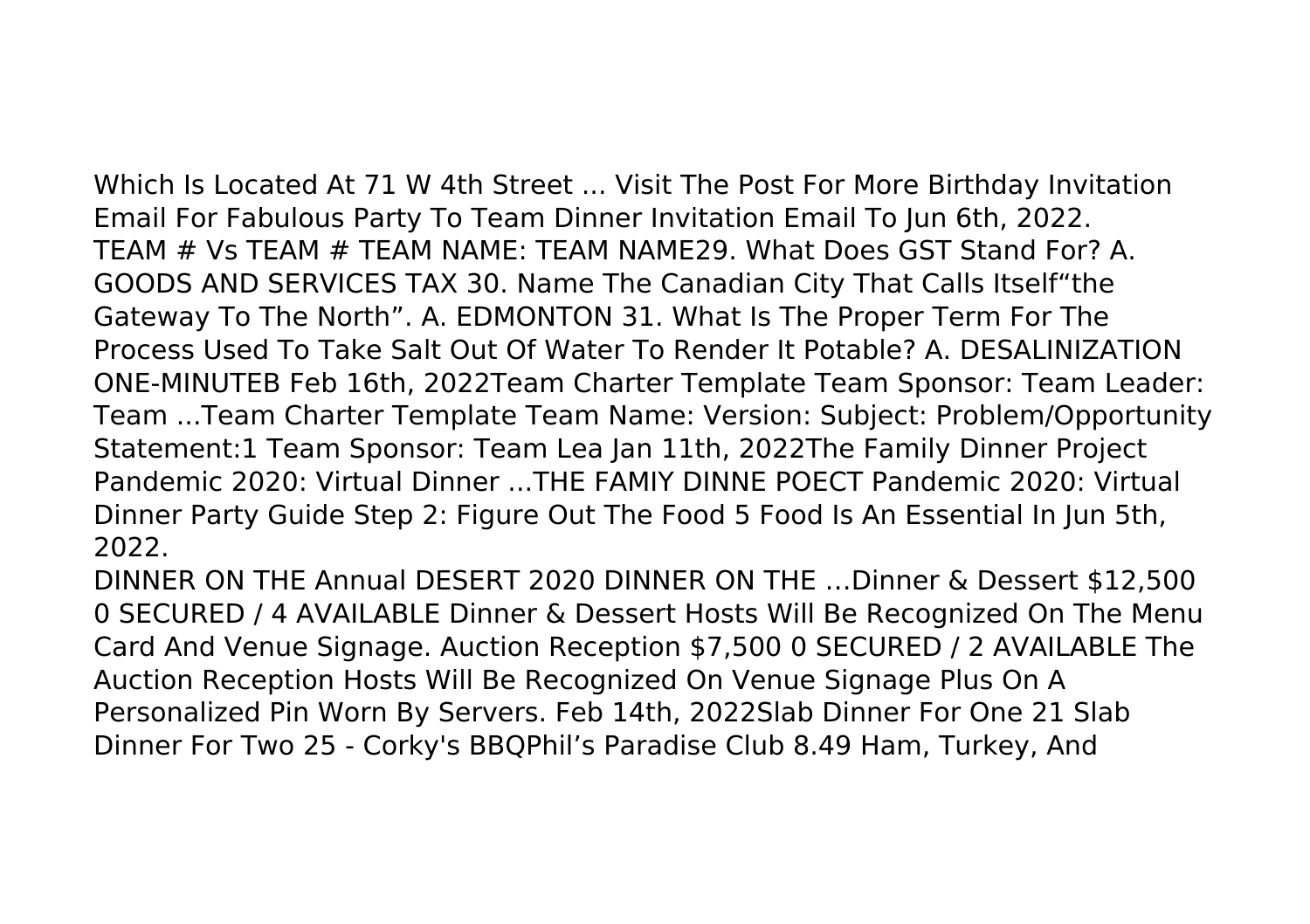Which Is Located At 71 W 4th Street ... Visit The Post For More Birthday Invitation Email For Fabulous Party To Team Dinner Invitation Email To Jun 6th, 2022. TEAM # Vs TEAM # TEAM NAME: TEAM NAME29. What Does GST Stand For? A. GOODS AND SERVICES TAX 30. Name The Canadian City That Calls Itself"the Gateway To The North". A. EDMONTON 31. What Is The Proper Term For The Process Used To Take Salt Out Of Water To Render It Potable? A. DESALINIZATION ONE-MINUTEB Feb 16th, 2022Team Charter Template Team Sponsor: Team Leader: Team ...Team Charter Template Team Name: Version: Subject: Problem/Opportunity Statement:1 Team Sponsor: Team Lea Jan 11th, 2022The Family Dinner Project Pandemic 2020: Virtual Dinner ...THE FAMIY DINNE POECT Pandemic 2020: Virtual Dinner Party Guide Step 2: Figure Out The Food 5 Food Is An Essential In Jun 5th, 2022.

DINNER ON THE Annual DESERT 2020 DINNER ON THE …Dinner & Dessert \$12,500 0 SECURED / 4 AVAILABLE Dinner & Dessert Hosts Will Be Recognized On The Menu Card And Venue Signage. Auction Reception \$7,500 0 SECURED / 2 AVAILABLE The Auction Reception Hosts Will Be Recognized On Venue Signage Plus On A Personalized Pin Worn By Servers. Feb 14th, 2022Slab Dinner For One 21 Slab Dinner For Two 25 - Corky's BBQPhil's Paradise Club 8.49 Ham, Turkey, And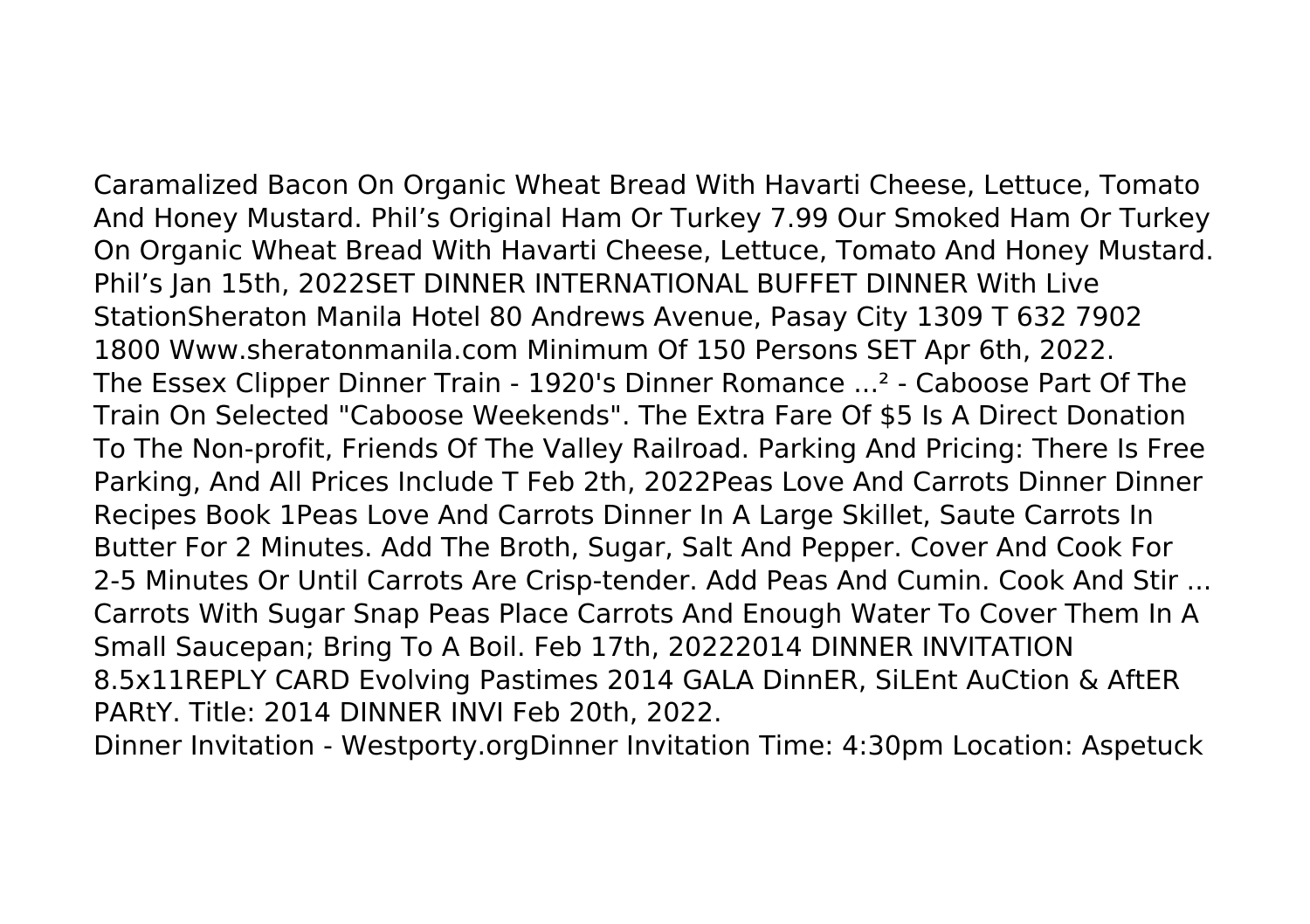Caramalized Bacon On Organic Wheat Bread With Havarti Cheese, Lettuce, Tomato And Honey Mustard. Phil's Original Ham Or Turkey 7.99 Our Smoked Ham Or Turkey On Organic Wheat Bread With Havarti Cheese, Lettuce, Tomato And Honey Mustard. Phil's Jan 15th, 2022SET DINNER INTERNATIONAL BUFFET DINNER With Live StationSheraton Manila Hotel 80 Andrews Avenue, Pasay City 1309 T 632 7902 1800 Www.sheratonmanila.com Minimum Of 150 Persons SET Apr 6th, 2022. The Essex Clipper Dinner Train - 1920's Dinner Romance ...² - Caboose Part Of The Train On Selected "Caboose Weekends". The Extra Fare Of \$5 Is A Direct Donation To The Non-profit, Friends Of The Valley Railroad. Parking And Pricing: There Is Free Parking, And All Prices Include T Feb 2th, 2022Peas Love And Carrots Dinner Dinner Recipes Book 1Peas Love And Carrots Dinner In A Large Skillet, Saute Carrots In Butter For 2 Minutes. Add The Broth, Sugar, Salt And Pepper. Cover And Cook For 2-5 Minutes Or Until Carrots Are Crisp-tender. Add Peas And Cumin. Cook And Stir ... Carrots With Sugar Snap Peas Place Carrots And Enough Water To Cover Them In A Small Saucepan; Bring To A Boil. Feb 17th, 20222014 DINNER INVITATION 8.5x11REPLY CARD Evolving Pastimes 2014 GALA DinnER, SiLEnt AuCtion & AftER PARtY. Title: 2014 DINNER INVI Feb 20th, 2022.

Dinner Invitation - Westporty.orgDinner Invitation Time: 4:30pm Location: Aspetuck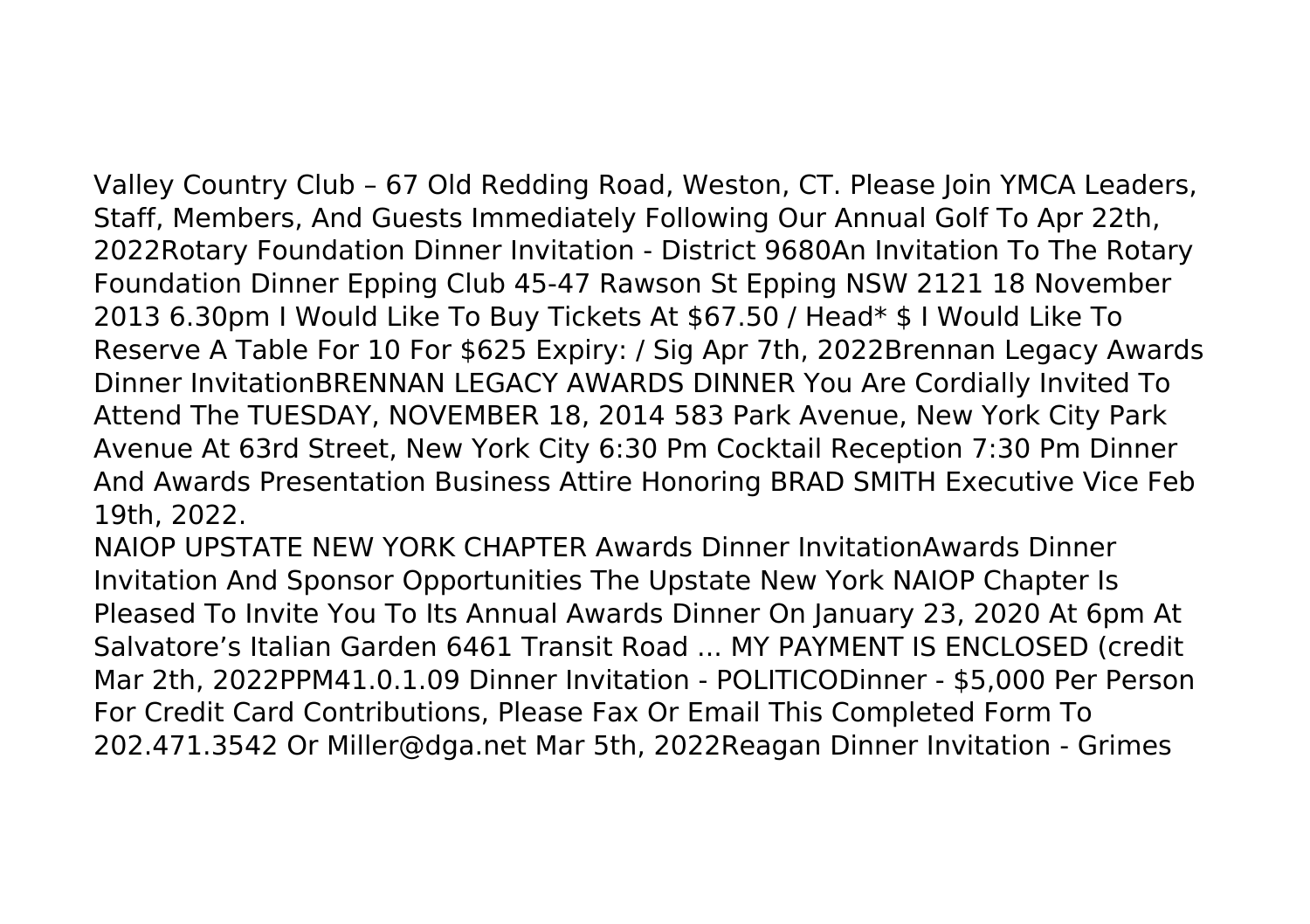Valley Country Club – 67 Old Redding Road, Weston, CT. Please Join YMCA Leaders, Staff, Members, And Guests Immediately Following Our Annual Golf To Apr 22th, 2022Rotary Foundation Dinner Invitation - District 9680An Invitation To The Rotary Foundation Dinner Epping Club 45-47 Rawson St Epping NSW 2121 18 November 2013 6.30pm I Would Like To Buy Tickets At \$67.50 / Head\* \$ I Would Like To Reserve A Table For 10 For \$625 Expiry: / Sig Apr 7th, 2022Brennan Legacy Awards Dinner InvitationBRENNAN LEGACY AWARDS DINNER You Are Cordially Invited To Attend The TUESDAY, NOVEMBER 18, 2014 583 Park Avenue, New York City Park Avenue At 63rd Street, New York City 6:30 Pm Cocktail Reception 7:30 Pm Dinner And Awards Presentation Business Attire Honoring BRAD SMITH Executive Vice Feb 19th, 2022.

NAIOP UPSTATE NEW YORK CHAPTER Awards Dinner InvitationAwards Dinner Invitation And Sponsor Opportunities The Upstate New York NAIOP Chapter Is Pleased To Invite You To Its Annual Awards Dinner On January 23, 2020 At 6pm At Salvatore's Italian Garden 6461 Transit Road ... MY PAYMENT IS ENCLOSED (credit Mar 2th, 2022PPM41.0.1.09 Dinner Invitation - POLITICODinner - \$5,000 Per Person For Credit Card Contributions, Please Fax Or Email This Completed Form To 202.471.3542 Or Miller@dga.net Mar 5th, 2022Reagan Dinner Invitation - Grimes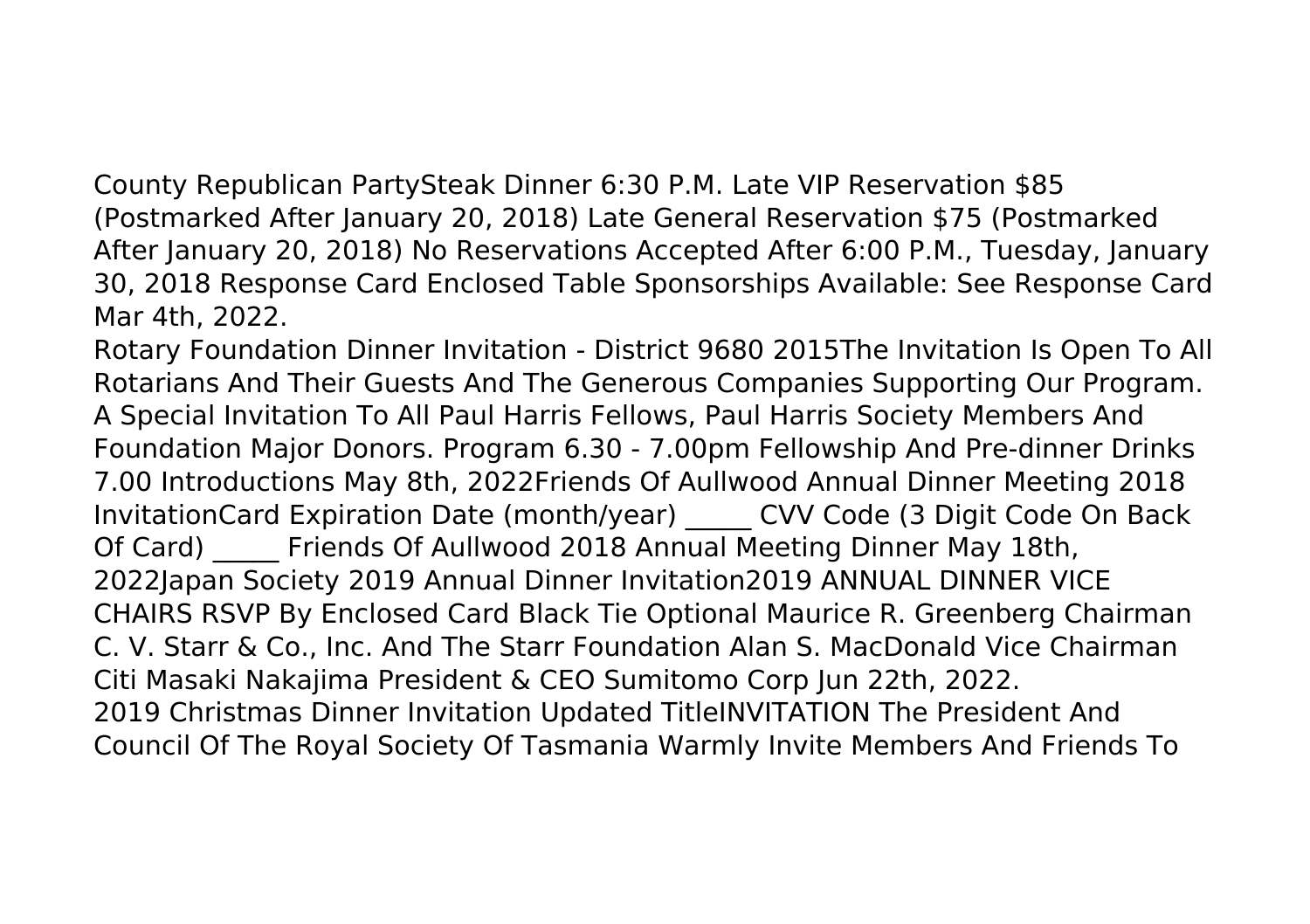County Republican PartySteak Dinner 6:30 P.M. Late VIP Reservation \$85 (Postmarked After January 20, 2018) Late General Reservation \$75 (Postmarked After January 20, 2018) No Reservations Accepted After 6:00 P.M., Tuesday, January 30, 2018 Response Card Enclosed Table Sponsorships Available: See Response Card Mar 4th, 2022.

Rotary Foundation Dinner Invitation - District 9680 2015The Invitation Is Open To All Rotarians And Their Guests And The Generous Companies Supporting Our Program. A Special Invitation To All Paul Harris Fellows, Paul Harris Society Members And Foundation Major Donors. Program 6.30 - 7.00pm Fellowship And Pre-dinner Drinks 7.00 Introductions May 8th, 2022Friends Of Aullwood Annual Dinner Meeting 2018 InvitationCard Expiration Date (month/year) \_\_\_\_\_ CVV Code (3 Digit Code On Back Of Card) Friends Of Aullwood 2018 Annual Meeting Dinner May 18th, 2022Japan Society 2019 Annual Dinner Invitation2019 ANNUAL DINNER VICE CHAIRS RSVP By Enclosed Card Black Tie Optional Maurice R. Greenberg Chairman C. V. Starr & Co., Inc. And The Starr Foundation Alan S. MacDonald Vice Chairman Citi Masaki Nakajima President & CEO Sumitomo Corp Jun 22th, 2022. 2019 Christmas Dinner Invitation Updated TitleINVITATION The President And Council Of The Royal Society Of Tasmania Warmly Invite Members And Friends To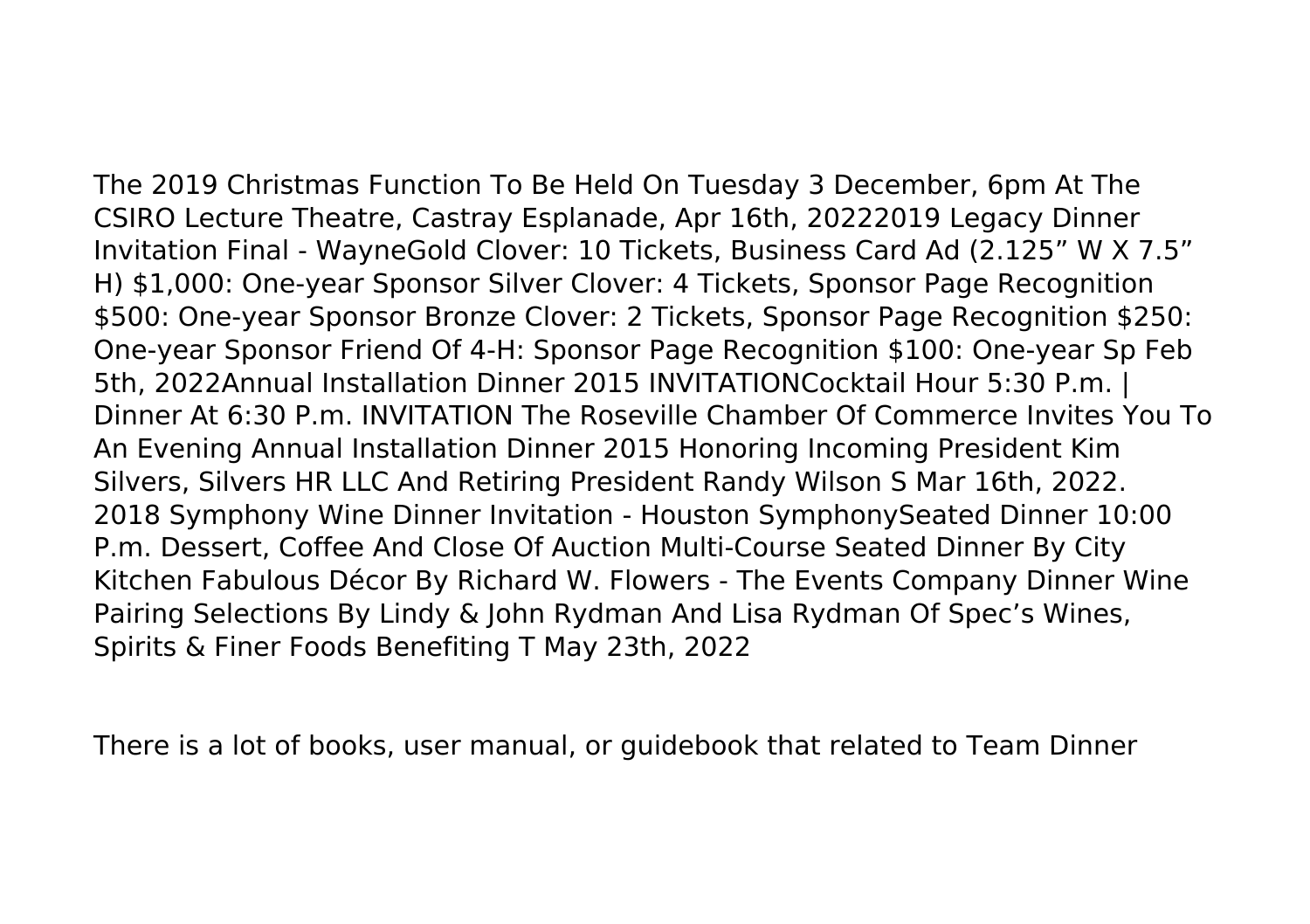The 2019 Christmas Function To Be Held On Tuesday 3 December, 6pm At The CSIRO Lecture Theatre, Castray Esplanade, Apr 16th, 20222019 Legacy Dinner Invitation Final - WayneGold Clover: 10 Tickets, Business Card Ad (2.125" W X 7.5" H) \$1,000: One-year Sponsor Silver Clover: 4 Tickets, Sponsor Page Recognition \$500: One-year Sponsor Bronze Clover: 2 Tickets, Sponsor Page Recognition \$250: One-year Sponsor Friend Of 4-H: Sponsor Page Recognition \$100: One-year Sp Feb 5th, 2022Annual Installation Dinner 2015 INVITATIONCocktail Hour 5:30 P.m. | Dinner At 6:30 P.m. INVITATION The Roseville Chamber Of Commerce Invites You To An Evening Annual Installation Dinner 2015 Honoring Incoming President Kim Silvers, Silvers HR LLC And Retiring President Randy Wilson S Mar 16th, 2022. 2018 Symphony Wine Dinner Invitation - Houston SymphonySeated Dinner 10:00 P.m. Dessert, Coffee And Close Of Auction Multi-Course Seated Dinner By City Kitchen Fabulous Décor By Richard W. Flowers - The Events Company Dinner Wine Pairing Selections By Lindy & John Rydman And Lisa Rydman Of Spec's Wines, Spirits & Finer Foods Benefiting T May 23th, 2022

There is a lot of books, user manual, or guidebook that related to Team Dinner